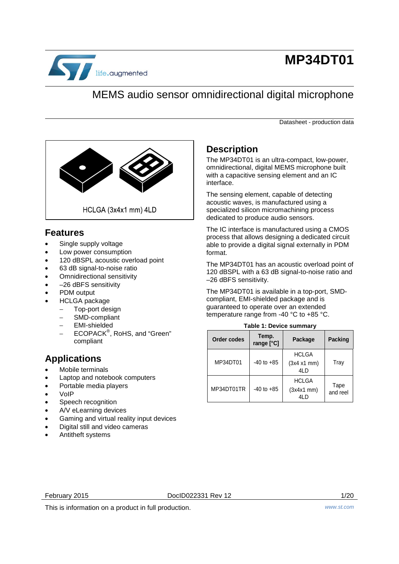

# **MP34DT01**

### MEMS audio sensor omnidirectional digital microphone

Datasheet - production data



### <span id="page-0-1"></span>**Features**

- Single supply voltage
- Low power consumption
- 120 dBSPL acoustic overload point
- 63 dB signal-to-noise ratio
- Omnidirectional sensitivity
- –26 dBFS sensitivity
- PDM output
- HCLGA package
	- Top-port design
	- SMD-compliant
	- − EMI-shielded
	- − ECOPACK® , RoHS, and "Green" compliant

### **Applications**

- Mobile terminals
- Laptop and notebook computers
- Portable media players
- VoIP
- Speech recognition
- A/V eLearning devices
- Gaming and virtual reality input devices
- Digital still and video cameras
- Antitheft systems

### <span id="page-0-2"></span>**Description**

The MP34DT01 is an ultra-compact, low-power, omnidirectional, digital MEMS microphone built with a capacitive sensing element and an IC interface.

The sensing element, capable of detecting acoustic waves, is manufactured using a specialized silicon micromachining process dedicated to produce audio sensors.

The IC interface is manufactured using a CMOS process that allows designing a dedicated circuit able to provide a digital signal externally in PDM format.

The MP34DT01 has an acoustic overload point of 120 dBSPL with a 63 dB signal-to-noise ratio and –26 dBFS sensitivity.

The MP34DT01 is available in a top-port, SMDcompliant, EMI-shielded package and is guaranteed to operate over an extended temperature range from -40 °C to +85 °C.

### <span id="page-0-0"></span>**Table 1: Device summary Order codes Temp.**

| Order codes | range [°C]     | Package                                | Packing          |
|-------------|----------------|----------------------------------------|------------------|
| MP34DT01    | $-40$ to $+85$ | <b>HCLGA</b><br>(3x4 x1 mm)<br>4LD     | Tray             |
| MP34DT01TR  | $-40$ to $+85$ | <b>HCLGA</b><br>$(3x4x1$ mm $)$<br>4LD | Tape<br>and reel |

February 2015 DocID022331 Rev 12 1/20

This is information on a product in full production. *www.st.com*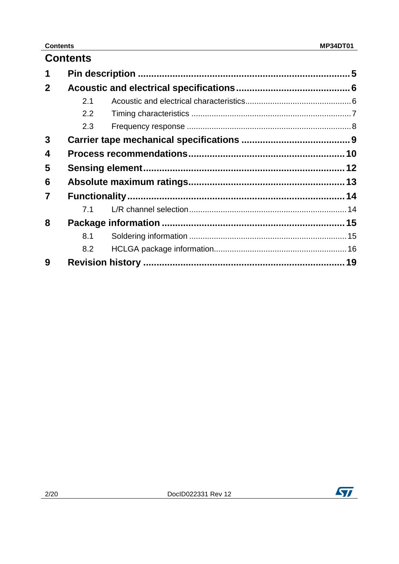#### **Contents**

|              | <b>Contents</b> |  |
|--------------|-----------------|--|
| 1            |                 |  |
| $\mathbf{2}$ |                 |  |
|              | 2.1             |  |
|              | $2.2^{\circ}$   |  |
|              | 2.3             |  |
| 3            |                 |  |
| 4            |                 |  |
| 5            |                 |  |
| 6            |                 |  |
| 7            |                 |  |
|              | 71              |  |
| 8            |                 |  |
|              | 8.1             |  |
|              | 8.2             |  |
| 9            |                 |  |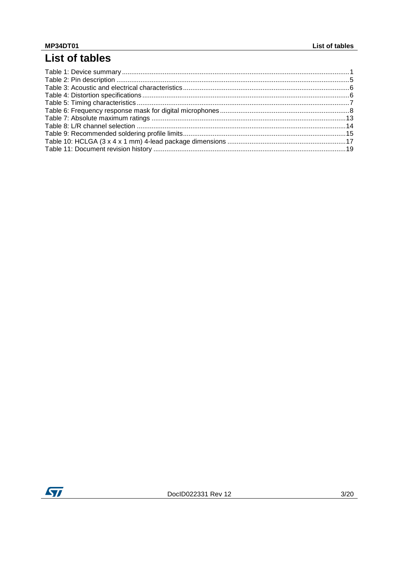## List of tables

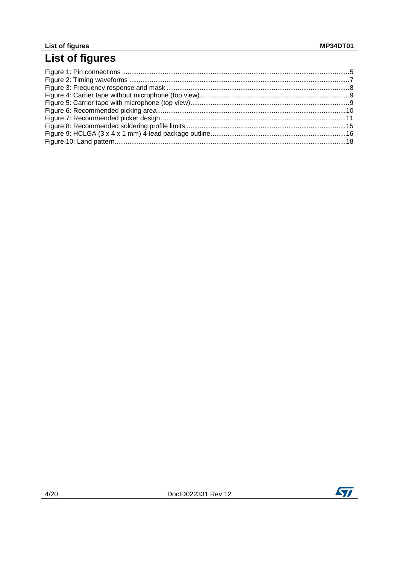# List of figures

<u>and the community of the community of the community of the community of the community of the community of the community of the community of the community of the community of the community of the community of the community</u>

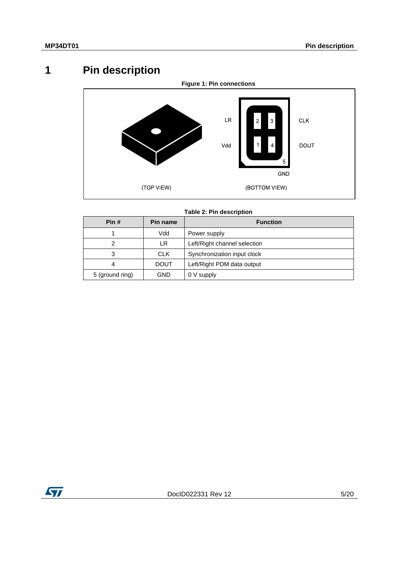# **1 Pin description**

<span id="page-4-2"></span><span id="page-4-0"></span>

**Table 2: Pin description**

<span id="page-4-1"></span>

| Pin#            | Pin name    | <b>Function</b>              |  |
|-----------------|-------------|------------------------------|--|
|                 | Vdd         | Power supply                 |  |
| 2               | LR          | Left/Right channel selection |  |
| 3               | <b>CLK</b>  | Synchronization input clock  |  |
| 4               | <b>DOUT</b> | Left/Right PDM data output   |  |
| 5 (ground ring) | GND         | 0 V supply                   |  |

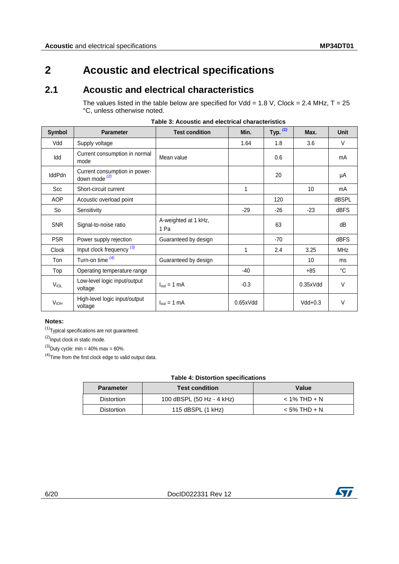### <span id="page-5-0"></span>**2 Acoustic and electrical specifications**

### **2.1 Acoustic and electrical characteristics**

<span id="page-5-2"></span><span id="page-5-1"></span>The values listed in the table below are specified for  $Vdd = 1.8 V$ , Clock = 2.4 MHz, T = 25 °C, unless otherwise noted.

| Symbol           | <b>Parameter</b>                                          | <b>Test condition</b>           | Min.     | Typ. $(1)$ | Max.      | <b>Unit</b> |
|------------------|-----------------------------------------------------------|---------------------------------|----------|------------|-----------|-------------|
| Vdd              | Supply voltage                                            |                                 | 1.64     | 1.8        | 3.6       | V           |
| Idd              | Current consumption in normal<br>mode                     | Mean value                      |          | 0.6        |           | mA          |
| <b>IddPdn</b>    | Current consumption in power-<br>down mode <sup>(2)</sup> |                                 |          | 20         |           | μA          |
| Scc              | Short-circuit current                                     |                                 | 1        |            | 10        | mA          |
| <b>AOP</b>       | Acoustic overload point                                   |                                 |          | 120        |           | dBSPL       |
| So               | Sensitivity                                               |                                 | $-29$    | $-26$      | $-23$     | dBFS        |
| <b>SNR</b>       | Signal-to-noise ratio                                     | A-weighted at 1 kHz,<br>1 Pa    |          | 63         |           | dB          |
| <b>PSR</b>       | Power supply rejection                                    | Guaranteed by design            |          | $-70$      |           | <b>dBFS</b> |
| <b>Clock</b>     | Input clock frequency (3)                                 |                                 | 1        | 2.4        | 3.25      | <b>MHz</b>  |
| Ton              | Turn-on time $(4)$                                        | Guaranteed by design            |          |            | 10        | ms          |
| Top              | Operating temperature range                               |                                 | $-40$    |            | $+85$     | °C          |
| $V_{\text{IOL}}$ | Low-level logic input/output<br>voltage                   | $I_{\text{out}} = 1 \text{ mA}$ | $-0.3$   |            | 0.35xVdd  | $\vee$      |
| <b>VIOH</b>      | High-level logic input/output<br>voltage                  | $I_{out} = 1$ mA                | 0.65xVdd |            | $Vdd+0.3$ | $\vee$      |

**Table 3: Acoustic and electrical characteristics**

#### **Notes:**

<span id="page-5-4"></span> $(1)$ Typical specifications are not guaranteed.

<span id="page-5-5"></span> $(2)$ Input clock in static mode.

<span id="page-5-6"></span> $^{(3)}$ Duty cycle: min = 40% max = 60%.

<span id="page-5-7"></span> $(4)$ Time from the first clock edge to valid output data.

<span id="page-5-3"></span>

| <b>Parameter</b>  | <b>Test condition</b>     | Value          |
|-------------------|---------------------------|----------------|
| <b>Distortion</b> | 100 dBSPL (50 Hz - 4 kHz) | $<$ 1% THD + N |
| Distortion        | 115 $dBSPL$ (1 kHz)       | $<$ 5% THD + N |

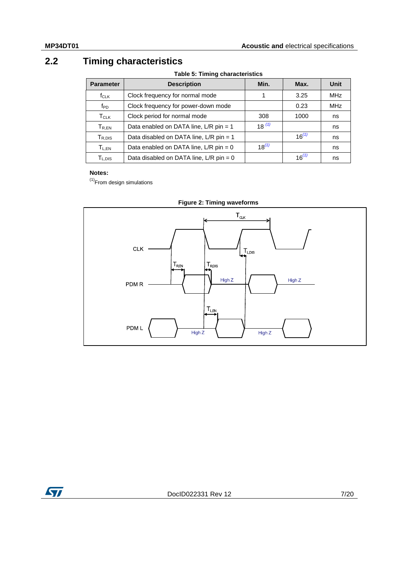### **2.2 Timing characteristics**

**Table 5: Timing characteristics**

<span id="page-6-0"></span>

| <b>Parameter</b>                       | <b>Description</b>                        | Min.       | Max.       | Unit       |
|----------------------------------------|-------------------------------------------|------------|------------|------------|
| $f_{CLK}$                              | Clock frequency for normal mode           | 1          | 3.25       | <b>MHz</b> |
| $f_{PD}$                               | Clock frequency for power-down mode       |            | 0.23       | <b>MHz</b> |
| $T_{CLK}$                              | Clock period for normal mode              | 308        | 1000       | ns         |
| $\mathsf{T}_{\mathsf{R},\mathsf{EN}}$  | Data enabled on DATA line, L/R pin = 1    | $18^{(1)}$ |            | ns         |
| ${\mathsf T}_{\mathsf R,\mathsf{DIS}}$ | Data disabled on DATA line, L/R pin = 1   |            | $16^{(1)}$ | ns         |
| $T_{L,EN}$                             | Data enabled on DATA line, $L/R$ pin = 0  | $18^{(1)}$ |            | ns         |
| T <sub>L.DIS</sub>                     | Data disabled on DATA line, $L/R$ pin = 0 |            | $16^{(1)}$ | ns         |

#### **Notes:**

<span id="page-6-2"></span> $<sup>(1)</sup>$ From design simulations</sup>

<span id="page-6-1"></span>



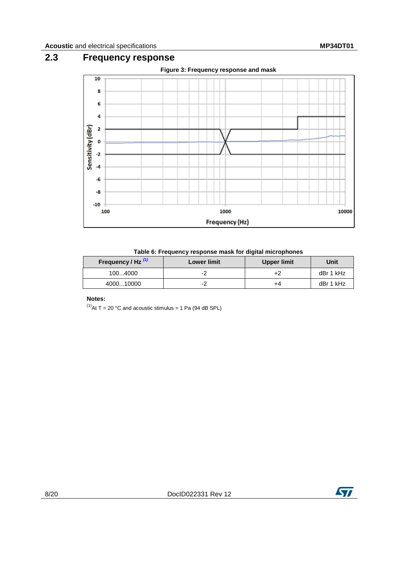### **2.3 Frequency response**

<span id="page-7-2"></span><span id="page-7-0"></span>

#### **Table 6: Frequency response mask for digital microphones**

<span id="page-7-1"></span>

| Frequency / Hz $^{(1)}$ | <b>Lower limit</b> | Upper limit | Unit      |
|-------------------------|--------------------|-------------|-----------|
| 1004000                 |                    |             | dBr 1 kHz |
| 400010000               |                    | +4          | dBr 1 kHz |

#### **Notes:**

<span id="page-7-3"></span> $^{(1)}$ At T = 20 °C and acoustic stimulus = 1 Pa (94 dB SPL)

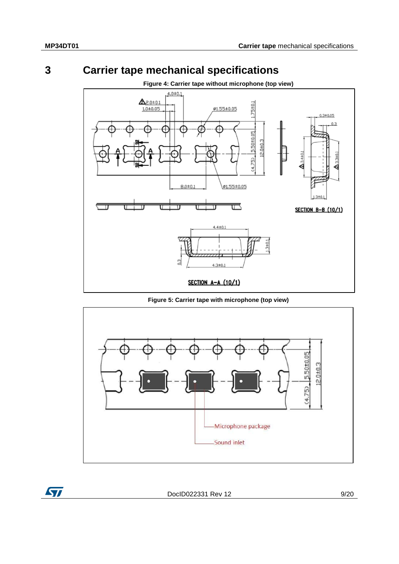ST

### **3 Carrier tape mechanical specifications**

<span id="page-8-1"></span><span id="page-8-0"></span>

**Figure 5: Carrier tape with microphone (top view)**

<span id="page-8-2"></span>

DocID022331 Rev 12 9/20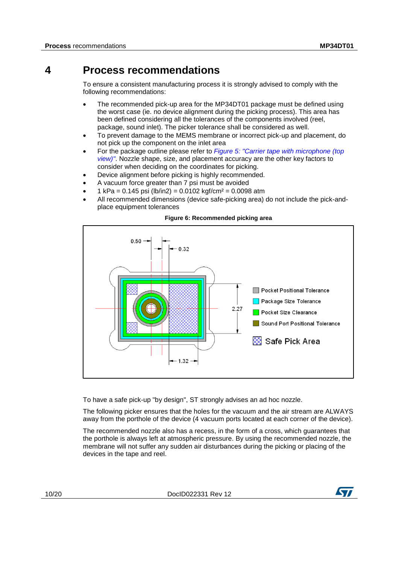### **4 Process recommendations**

<span id="page-9-0"></span>To ensure a consistent manufacturing process it is strongly advised to comply with the following recommendations:

- The recommended pick-up area for the MP34DT01 package must be defined using the worst case (ie. no device alignment during the picking process). This area has been defined considering all the tolerances of the components involved (reel, package, sound inlet). The picker tolerance shall be considered as well.
- To prevent damage to the MEMS membrane or incorrect pick-up and placement, do not pick up the component on the inlet area
- For the package outline please refer to *[Figure 5: "Carrier tape with microphone \(top](#page-8-2)  [view\)"](#page-8-2)*. Nozzle shape, size, and placement accuracy are the other key factors to consider when deciding on the coordinates for picking.
- Device alignment before picking is highly recommended.
- A vacuum force greater than 7 psi must be avoided
- 1 kPa =  $0.145$  psi (lb/in2) =  $0.0102$  kgf/cm<sup>2</sup> =  $0.0098$  atm
- All recommended dimensions (device safe-picking area) do not include the pick-andplace equipment tolerances

<span id="page-9-1"></span>

**Figure 6: Recommended picking area**

To have a safe pick-up "by design", ST strongly advises an ad hoc nozzle.

The following picker ensures that the holes for the vacuum and the air stream are ALWAYS away from the porthole of the device (4 vacuum ports located at each corner of the device).

The recommended nozzle also has a recess, in the form of a cross, which guarantees that the porthole is always left at atmospheric pressure. By using the recommended nozzle, the membrane will not suffer any sudden air disturbances during the picking or placing of the devices in the tape and reel.

10/20 DocID022331 Rev 12

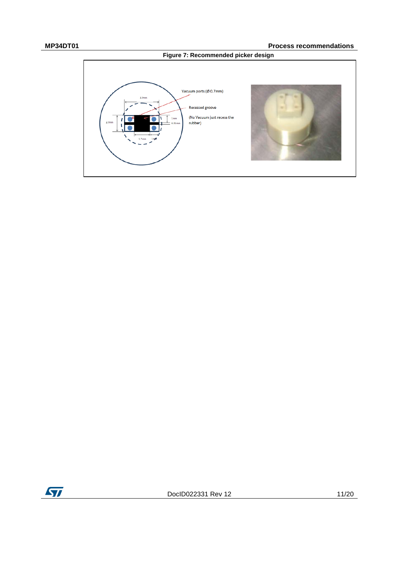

<span id="page-10-0"></span>

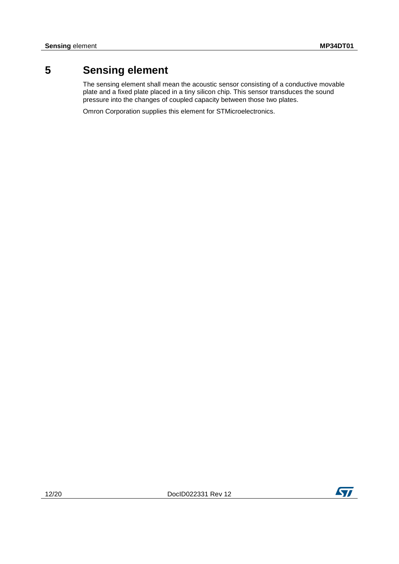### **5 Sensing element**

<span id="page-11-0"></span>The sensing element shall mean the acoustic sensor consisting of a conductive movable plate and a fixed plate placed in a tiny silicon chip. This sensor transduces the sound pressure into the changes of coupled capacity between those two plates.

Omron Corporation supplies this element for STMicroelectronics.

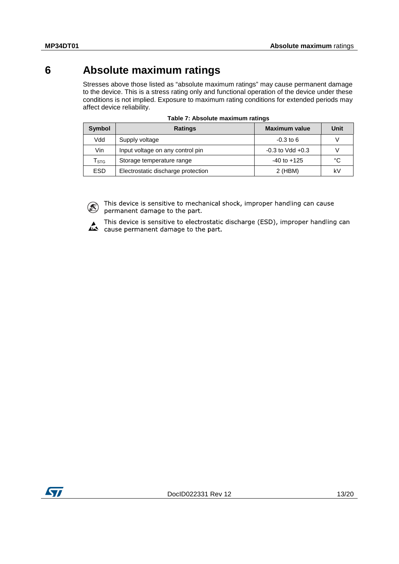### **6 Absolute maximum ratings**

<span id="page-12-0"></span>Stresses above those listed as "absolute maximum ratings" may cause permanent damage to the device. This is a stress rating only and functional operation of the device under these conditions is not implied. Exposure to maximum rating conditions for extended periods may affect device reliability.

<span id="page-12-1"></span>

| Symbol                           | <b>Ratings</b>                     | <b>Maximum value</b> | Unit |
|----------------------------------|------------------------------------|----------------------|------|
| Vdd                              | Supply voltage                     | $-0.3$ to 6          |      |
| Vin                              | Input voltage on any control pin   | $-0.3$ to Vdd $+0.3$ |      |
| $\mathsf{\Gamma}_{\texttt{STG}}$ | Storage temperature range          | $-40$ to $+125$      | °C   |
| <b>ESD</b>                       | Electrostatic discharge protection | $2$ (HBM)            | kV   |

|  | Table 7: Absolute maximum ratings |  |
|--|-----------------------------------|--|
|  |                                   |  |

This device is sensitive to mechanical shock, improper handling can cause K) permanent damage to the part.

This device is sensitive to electrostatic discharge (ESD), improper handling can cause permanent damage to the part.

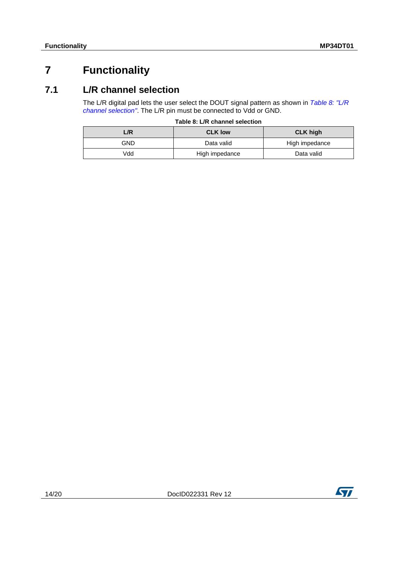### <span id="page-13-0"></span>**7 Functionality**

### **7.1 L/R channel selection**

<span id="page-13-1"></span>The L/R digital pad lets the user select the DOUT signal pattern as shown in *[Table 8: "L/R](#page-13-2)  [channel selection"](#page-13-2)*. The L/R pin must be connected to Vdd or GND.

|  |  | Table 8: L/R channel selection |
|--|--|--------------------------------|
|  |  |                                |

<span id="page-13-2"></span>

| L/R | <b>CLK low</b> | <b>CLK high</b> |
|-----|----------------|-----------------|
| GND | Data valid     | High impedance  |
| Vdd | High impedance | Data valid      |

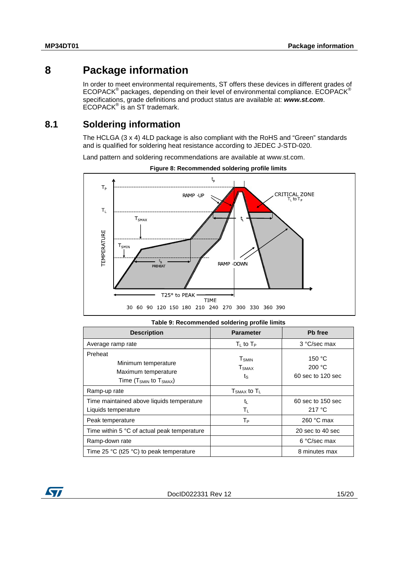### **8 Package information**

<span id="page-14-0"></span>In order to meet environmental requirements, ST offers these devices in different grades of ECOPACK® packages, depending on their level of environmental compliance. ECOPACK® specifications, grade definitions and product status are available at: *www.st.com*.  $ECOPACK^{\circ}$  is an ST trademark.

### **8.1 Soldering information**

<span id="page-14-1"></span>The HCLGA (3 x 4) 4LD package is also compliant with the RoHS and "Green" standards and is qualified for soldering heat resistance according to JEDEC J-STD-020.

Land pattern and soldering recommendations are available at www.st.com.

<span id="page-14-3"></span>



<span id="page-14-2"></span>

| Table 9: Recommended soldering profile limits                                              |                                                     |                                       |  |
|--------------------------------------------------------------------------------------------|-----------------------------------------------------|---------------------------------------|--|
| <b>Description</b>                                                                         | <b>Parameter</b>                                    | Pb free                               |  |
| Average ramp rate                                                                          | $T_1$ to $T_P$                                      | 3 °C/sec max                          |  |
| Preheat<br>Minimum temperature<br>Maximum temperature<br>Time ( $T_{SMIN}$ to $T_{SMAX}$ ) | <b>T</b> <sub>SMIN</sub><br>T <sub>SMAX</sub><br>ts | 150 °C<br>200 °C<br>60 sec to 120 sec |  |
| Ramp-up rate                                                                               | $T_{\text{SMAX}}$ to $T_L$                          |                                       |  |
| Time maintained above liquids temperature<br>Liquids temperature                           | $t_{\rm L}$<br>$T_L$                                | 60 sec to 150 sec<br>217 °C           |  |
| Peak temperature                                                                           | $T_{P}$                                             | 260 $°C$ max                          |  |
| Time within 5 °C of actual peak temperature                                                |                                                     | 20 sec to 40 sec                      |  |
| Ramp-down rate                                                                             |                                                     | 6 °C/sec max                          |  |
| Time 25 °C (t25 °C) to peak temperature                                                    |                                                     | 8 minutes max                         |  |

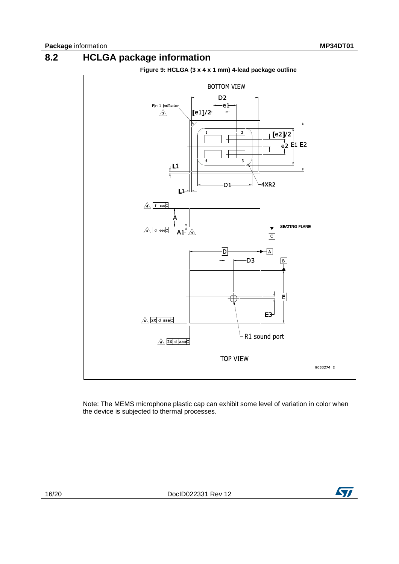### **8.2 HCLGA package information**

<span id="page-15-1"></span><span id="page-15-0"></span>

Note: The MEMS microphone plastic cap can exhibit some level of variation in color when the device is subjected to thermal processes.

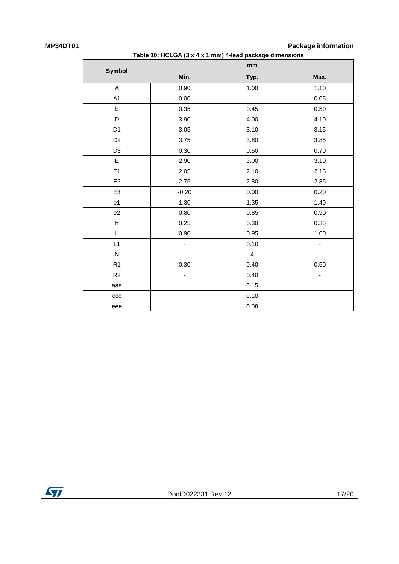**MP34DT01 Package information** 

| Table 10: HCLGA (3 x 4 x 1 mm) 4-lead package dimensions |                          |                          |      |  |
|----------------------------------------------------------|--------------------------|--------------------------|------|--|
| <b>Symbol</b>                                            | mm                       |                          |      |  |
|                                                          | Min.                     | Typ.                     | Max. |  |
| A                                                        | 0.90                     | 1.00                     | 1.10 |  |
| A <sub>1</sub>                                           | 0.00                     | $\overline{\phantom{a}}$ | 0.05 |  |
| b                                                        | 0.35                     | 0.45                     | 0.50 |  |
| D                                                        | 3.90                     | 4.00                     | 4.10 |  |
| D <sub>1</sub>                                           | 3.05                     | 3.10                     | 3.15 |  |
| D <sub>2</sub>                                           | 3.75                     | 3.80                     | 3.85 |  |
| D <sub>3</sub>                                           | 0.30                     | 0.50                     | 0.70 |  |
| E                                                        | 2.90                     | 3.00                     | 3.10 |  |
| E <sub>1</sub>                                           | 2.05                     | 2.10                     | 2.15 |  |
| E <sub>2</sub>                                           | 2.75                     | 2.80                     | 2.85 |  |
| E <sub>3</sub>                                           | $-0.20$                  | 0.00                     | 0.20 |  |
| e <sub>1</sub>                                           | 1.30                     | 1.35                     | 1.40 |  |
| e2                                                       | 0.80                     | 0.85                     | 0.90 |  |
| h                                                        | 0.25                     | 0.30                     | 0.35 |  |
| L                                                        | 0.90                     | 0.95                     | 1.00 |  |
| L1                                                       | $\overline{\phantom{a}}$ | 0.10                     | ۰    |  |
| ${\sf N}$                                                |                          | $\overline{4}$           |      |  |
| R1                                                       | 0.30                     | 0.40                     | 0.50 |  |
| R <sub>2</sub>                                           |                          | 0.40                     | -    |  |
| aaa                                                      |                          | 0.15                     |      |  |
| ccc                                                      |                          | 0.10                     |      |  |
| eee                                                      |                          | 0.08                     |      |  |

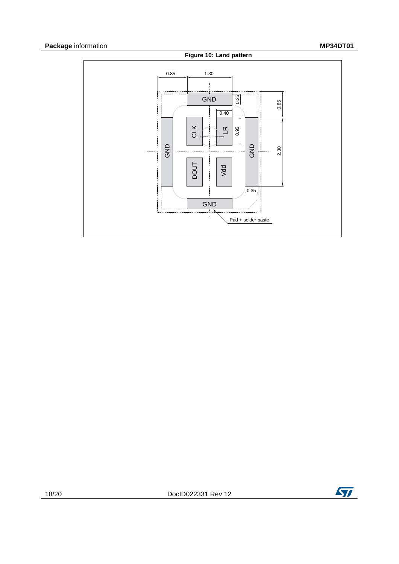<span id="page-17-0"></span>

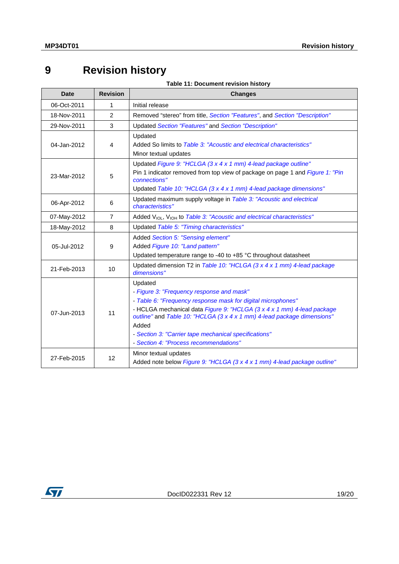## <span id="page-18-1"></span><span id="page-18-0"></span>**9 Revision history**

|  | Table 11: Document revision history |
|--|-------------------------------------|
|--|-------------------------------------|

| <b>Date</b> | <b>Revision</b> | <b>Changes</b>                                                                                                                                                                                                                                                                                                                                                                        |
|-------------|-----------------|---------------------------------------------------------------------------------------------------------------------------------------------------------------------------------------------------------------------------------------------------------------------------------------------------------------------------------------------------------------------------------------|
| 06-Oct-2011 | 1               | Initial release                                                                                                                                                                                                                                                                                                                                                                       |
| 18-Nov-2011 | 2               | Removed "stereo" from title, Section "Features", and Section "Description"                                                                                                                                                                                                                                                                                                            |
| 29-Nov-2011 | 3               | Updated Section "Features" and Section "Description"                                                                                                                                                                                                                                                                                                                                  |
| 04-Jan-2012 | 4               | Updated<br>Added So limits to Table 3: "Acoustic and electrical characteristics"<br>Minor textual updates                                                                                                                                                                                                                                                                             |
| 23-Mar-2012 | 5               | Updated Figure 9: "HCLGA (3 x 4 x 1 mm) 4-lead package outline"<br>Pin 1 indicator removed from top view of package on page 1 and Figure 1: "Pin<br>connections"<br>Updated Table 10: "HCLGA (3 x 4 x 1 mm) 4-lead package dimensions"                                                                                                                                                |
| 06-Apr-2012 | 6               | Updated maximum supply voltage in Table 3: "Acoustic and electrical<br>characteristics"                                                                                                                                                                                                                                                                                               |
| 07-May-2012 | $\overline{7}$  | Added V <sub>IOL</sub> , V <sub>IOH</sub> to Table 3: "Acoustic and electrical characteristics"                                                                                                                                                                                                                                                                                       |
| 18-May-2012 | 8               | Updated Table 5: "Timing characteristics"                                                                                                                                                                                                                                                                                                                                             |
| 05-Jul-2012 | 9               | Added Section 5: "Sensing element"<br>Added Figure 10: "Land pattern"<br>Updated temperature range to -40 to +85 °C throughout datasheet                                                                                                                                                                                                                                              |
| 21-Feb-2013 | 10              | Updated dimension T2 in Table 10: "HCLGA (3 x 4 x 1 mm) 4-lead package<br>dimensions"                                                                                                                                                                                                                                                                                                 |
| 07-Jun-2013 | 11              | Updated<br>- Figure 3: "Frequency response and mask"<br>- Table 6: "Frequency response mask for digital microphones"<br>- HCLGA mechanical data Figure 9: "HCLGA (3 x 4 x 1 mm) 4-lead package<br>outline" and Table 10: "HCLGA (3 x 4 x 1 mm) 4-lead package dimensions"<br>Added<br>- Section 3: "Carrier tape mechanical specifications"<br>- Section 4: "Process recommendations" |
| 27-Feb-2015 | 12              | Minor textual updates<br>Added note below Figure 9: "HCLGA (3 x 4 x 1 mm) 4-lead package outline"                                                                                                                                                                                                                                                                                     |

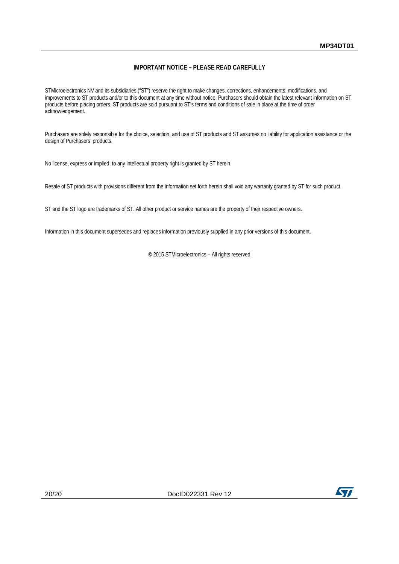#### **IMPORTANT NOTICE – PLEASE READ CAREFULLY**

STMicroelectronics NV and its subsidiaries ("ST") reserve the right to make changes, corrections, enhancements, modifications, and improvements to ST products and/or to this document at any time without notice. Purchasers should obtain the latest relevant information on ST products before placing orders. ST products are sold pursuant to ST's terms and conditions of sale in place at the time of order acknowledgement.

Purchasers are solely responsible for the choice, selection, and use of ST products and ST assumes no liability for application assistance or the design of Purchasers' products.

No license, express or implied, to any intellectual property right is granted by ST herein.

Resale of ST products with provisions different from the information set forth herein shall void any warranty granted by ST for such product.

ST and the ST logo are trademarks of ST. All other product or service names are the property of their respective owners.

Information in this document supersedes and replaces information previously supplied in any prior versions of this document.

© 2015 STMicroelectronics – All rights reserved